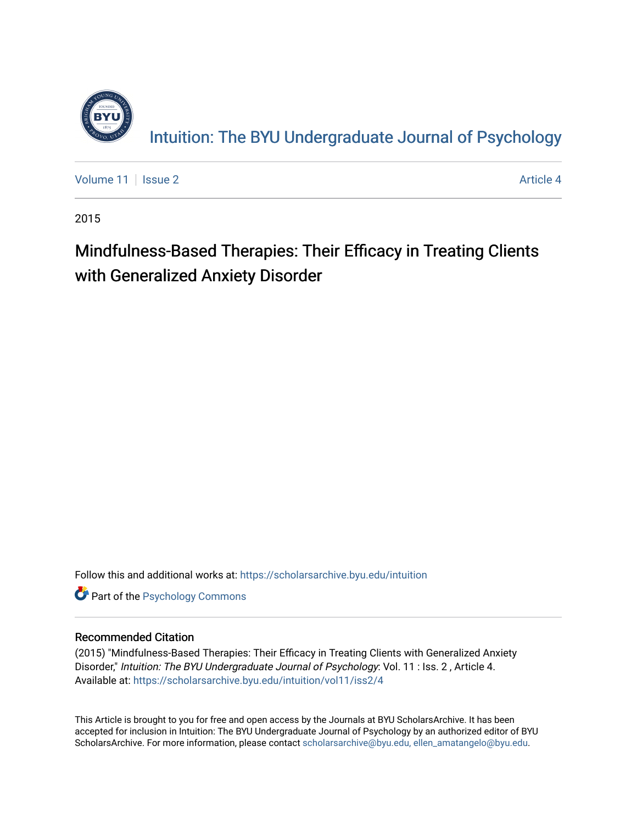

[Volume 11](https://scholarsarchive.byu.edu/intuition/vol11) | [Issue 2](https://scholarsarchive.byu.edu/intuition/vol11/iss2) Article 4

2015

# Mindfulness-Based Therapies: Their Efficacy in Treating Clients with Generalized Anxiety Disorder

Follow this and additional works at: [https://scholarsarchive.byu.edu/intuition](https://scholarsarchive.byu.edu/intuition?utm_source=scholarsarchive.byu.edu%2Fintuition%2Fvol11%2Fiss2%2F4&utm_medium=PDF&utm_campaign=PDFCoverPages) 

**Part of the Psychology Commons** 

#### Recommended Citation

(2015) "Mindfulness-Based Therapies: Their Efficacy in Treating Clients with Generalized Anxiety Disorder," Intuition: The BYU Undergraduate Journal of Psychology: Vol. 11 : Iss. 2, Article 4. Available at: [https://scholarsarchive.byu.edu/intuition/vol11/iss2/4](https://scholarsarchive.byu.edu/intuition/vol11/iss2/4?utm_source=scholarsarchive.byu.edu%2Fintuition%2Fvol11%2Fiss2%2F4&utm_medium=PDF&utm_campaign=PDFCoverPages) 

This Article is brought to you for free and open access by the Journals at BYU ScholarsArchive. It has been accepted for inclusion in Intuition: The BYU Undergraduate Journal of Psychology by an authorized editor of BYU ScholarsArchive. For more information, please contact [scholarsarchive@byu.edu, ellen\\_amatangelo@byu.edu.](mailto:scholarsarchive@byu.edu,%20ellen_amatangelo@byu.edu)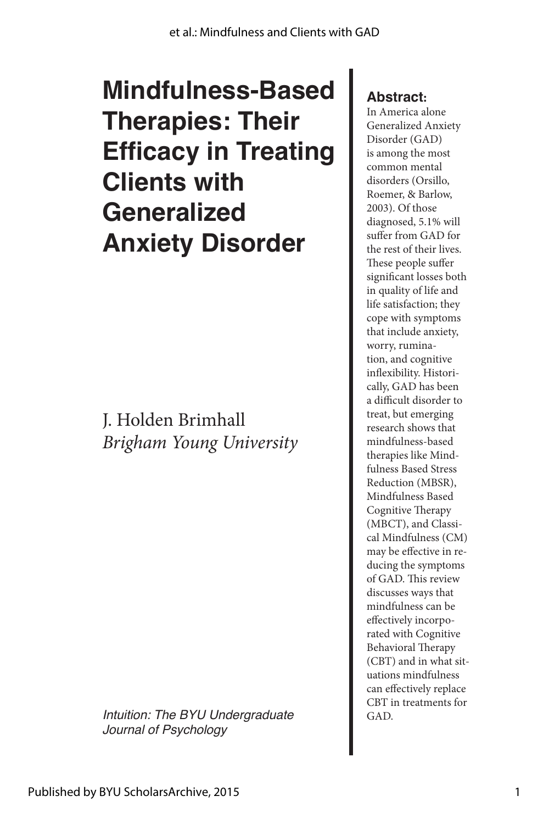# **Mindfulness-Based Therapies: Their Efficacy in Treating Clients with Generalized Anxiety Disorder**

J. Holden Brimhall *Brigham Young University*

*Intuition: The BYU Undergraduate* **Fig. 1** GAD. *Journal of Psychology*

#### **Abstract:**

In America alone Generalized Anxiety Disorder (GAD) is among the most common mental disorders (Orsillo, Roemer, & Barlow, 2003). Of those diagnosed, 5.1% will suffer from GAD for the rest of their lives. These people suffer significant losses both in quality of life and life satisfaction; they cope with symptoms that include anxiety, worry, rumination, and cognitive inflexibility. Historically, GAD has been a difficult disorder to treat, but emerging research shows that mindfulness-based therapies like Mindfulness Based Stress Reduction (MBSR), Mindfulness Based Cognitive Therapy (MBCT), and Classical Mindfulness (CM) may be effective in reducing the symptoms of GAD. This review discusses ways that mindfulness can be effectively incorporated with Cognitive Behavioral Therapy (CBT) and in what situations mindfulness can effectively replace CBT in treatments for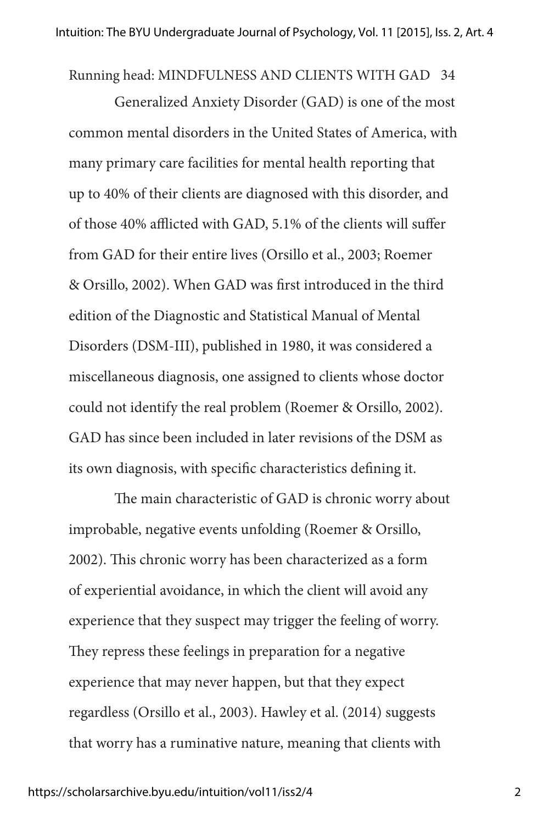Running head: MINDFULNESS AND CLIENTS WITH GAD 34

Generalized Anxiety Disorder (GAD) is one of the most common mental disorders in the United States of America, with many primary care facilities for mental health reporting that up to 40% of their clients are diagnosed with this disorder, and of those 40% afflicted with GAD, 5.1% of the clients will suffer from GAD for their entire lives (Orsillo et al., 2003; Roemer & Orsillo, 2002). When GAD was first introduced in the third edition of the Diagnostic and Statistical Manual of Mental Disorders (DSM-III), published in 1980, it was considered a miscellaneous diagnosis, one assigned to clients whose doctor could not identify the real problem (Roemer & Orsillo, 2002). GAD has since been included in later revisions of the DSM as its own diagnosis, with specific characteristics defining it.

The main characteristic of GAD is chronic worry about improbable, negative events unfolding (Roemer & Orsillo, 2002). This chronic worry has been characterized as a form of experiential avoidance, in which the client will avoid any experience that they suspect may trigger the feeling of worry. They repress these feelings in preparation for a negative experience that may never happen, but that they expect regardless (Orsillo et al., 2003). Hawley et al. (2014) suggests that worry has a ruminative nature, meaning that clients with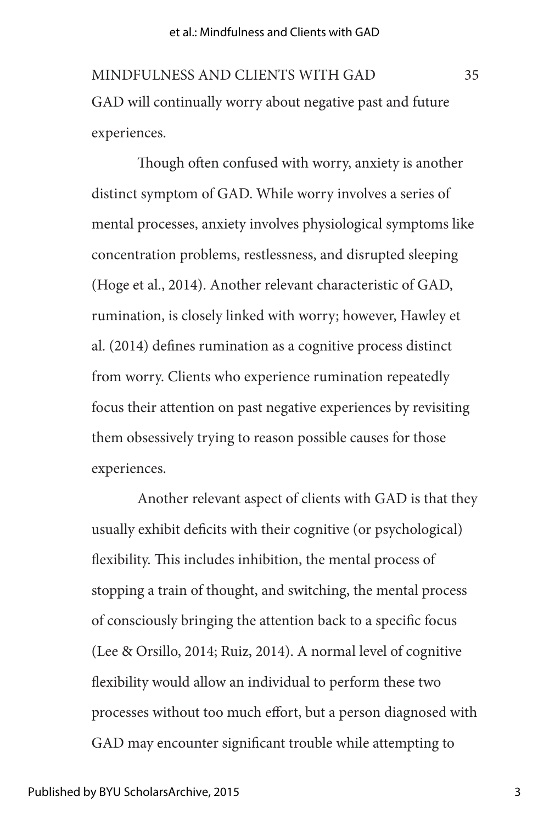GAD will continually worry about negative past and future experiences. MINDFULNESS AND CLIENTS WITH GAD 35

Though often confused with worry, anxiety is another distinct symptom of GAD. While worry involves a series of mental processes, anxiety involves physiological symptoms like concentration problems, restlessness, and disrupted sleeping (Hoge et al., 2014). Another relevant characteristic of GAD, rumination, is closely linked with worry; however, Hawley et al. (2014) defines rumination as a cognitive process distinct from worry. Clients who experience rumination repeatedly focus their attention on past negative experiences by revisiting them obsessively trying to reason possible causes for those experiences.

Another relevant aspect of clients with GAD is that they usually exhibit deficits with their cognitive (or psychological) flexibility. This includes inhibition, the mental process of stopping a train of thought, and switching, the mental process of consciously bringing the attention back to a specific focus (Lee & Orsillo, 2014; Ruiz, 2014). A normal level of cognitive flexibility would allow an individual to perform these two processes without too much effort, but a person diagnosed with GAD may encounter significant trouble while attempting to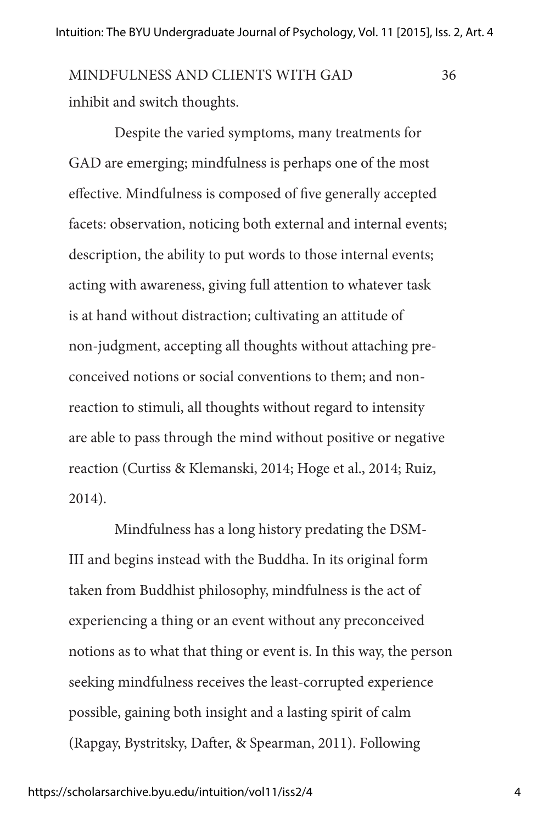inhibit and switch thoughts. MINDFULNESS AND CLIENTS WITH GAD 36

Despite the varied symptoms, many treatments for GAD are emerging; mindfulness is perhaps one of the most effective. Mindfulness is composed of five generally accepted facets: observation, noticing both external and internal events; description, the ability to put words to those internal events; acting with awareness, giving full attention to whatever task is at hand without distraction; cultivating an attitude of non-judgment, accepting all thoughts without attaching preconceived notions or social conventions to them; and nonreaction to stimuli, all thoughts without regard to intensity are able to pass through the mind without positive or negative reaction (Curtiss & Klemanski, 2014; Hoge et al., 2014; Ruiz, 2014).

Mindfulness has a long history predating the DSM-III and begins instead with the Buddha. In its original form taken from Buddhist philosophy, mindfulness is the act of experiencing a thing or an event without any preconceived notions as to what that thing or event is. In this way, the person seeking mindfulness receives the least-corrupted experience possible, gaining both insight and a lasting spirit of calm (Rapgay, Bystritsky, Dafter, & Spearman, 2011). Following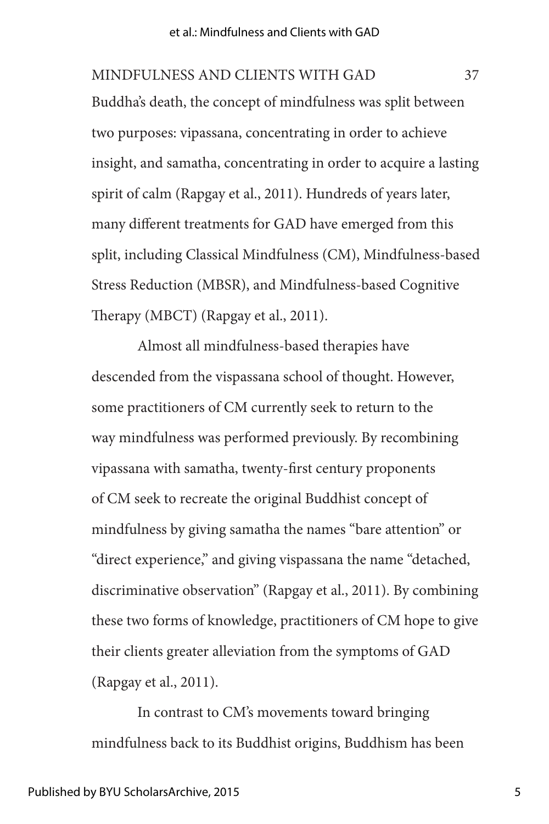Buddha's death, the concept of mindfulness was split between two purposes: vipassana, concentrating in order to achieve insight, and samatha, concentrating in order to acquire a lasting spirit of calm (Rapgay et al., 2011). Hundreds of years later, many different treatments for GAD have emerged from this split, including Classical Mindfulness (CM), Mindfulness-based Stress Reduction (MBSR), and Mindfulness-based Cognitive Therapy (MBCT) (Rapgay et al., 2011). MINDFULNESS AND CLIENTS WITH GAD 37

Almost all mindfulness-based therapies have descended from the vispassana school of thought. However, some practitioners of CM currently seek to return to the way mindfulness was performed previously. By recombining vipassana with samatha, twenty-first century proponents of CM seek to recreate the original Buddhist concept of mindfulness by giving samatha the names "bare attention" or "direct experience," and giving vispassana the name "detached, discriminative observation" (Rapgay et al., 2011). By combining these two forms of knowledge, practitioners of CM hope to give their clients greater alleviation from the symptoms of GAD (Rapgay et al., 2011).

In contrast to CM's movements toward bringing mindfulness back to its Buddhist origins, Buddhism has been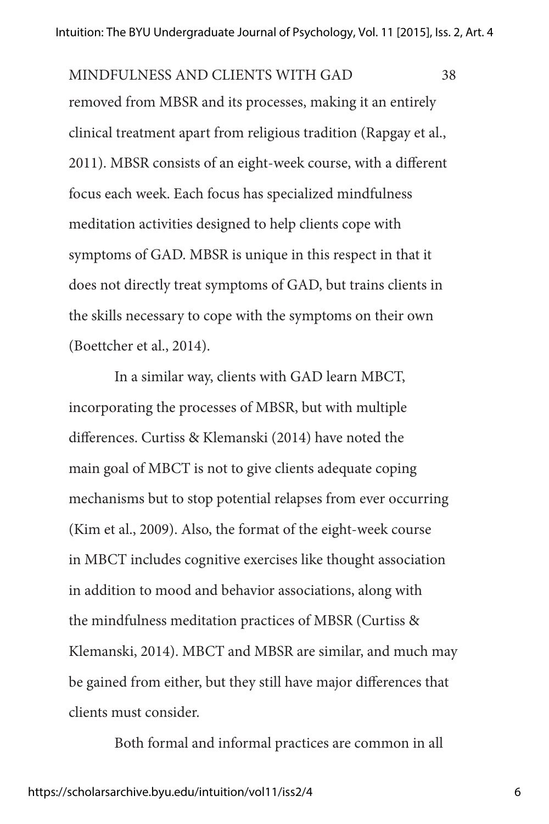removed from MBSR and its processes, making it an entirely clinical treatment apart from religious tradition (Rapgay et al., 2011). MBSR consists of an eight-week course, with a different focus each week. Each focus has specialized mindfulness meditation activities designed to help clients cope with symptoms of GAD. MBSR is unique in this respect in that it does not directly treat symptoms of GAD, but trains clients in the skills necessary to cope with the symptoms on their own (Boettcher et al., 2014). MINDFULNESS AND CLIENTS WITH GAD 38

In a similar way, clients with GAD learn MBCT, incorporating the processes of MBSR, but with multiple differences. Curtiss & Klemanski (2014) have noted the main goal of MBCT is not to give clients adequate coping mechanisms but to stop potential relapses from ever occurring (Kim et al., 2009). Also, the format of the eight-week course in MBCT includes cognitive exercises like thought association in addition to mood and behavior associations, along with the mindfulness meditation practices of MBSR (Curtiss & Klemanski, 2014). MBCT and MBSR are similar, and much may be gained from either, but they still have major differences that clients must consider.

Both formal and informal practices are common in all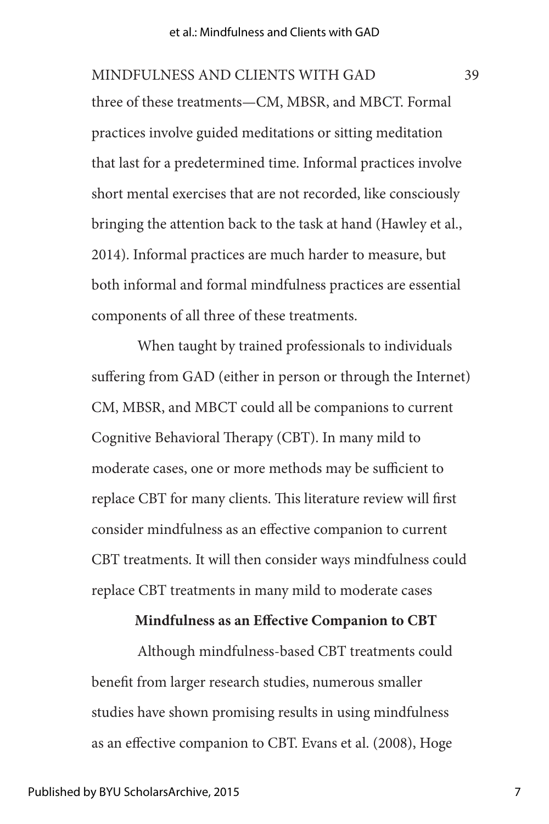three of these treatments—CM, MBSR, and MBCT. Formal practices involve guided meditations or sitting meditation that last for a predetermined time. Informal practices involve short mental exercises that are not recorded, like consciously bringing the attention back to the task at hand (Hawley et al., 2014). Informal practices are much harder to measure, but both informal and formal mindfulness practices are essential components of all three of these treatments. MINDFULNESS AND CLIENTS WITH GAD 39

When taught by trained professionals to individuals suffering from GAD (either in person or through the Internet) CM, MBSR, and MBCT could all be companions to current Cognitive Behavioral Therapy (CBT). In many mild to moderate cases, one or more methods may be sufficient to replace CBT for many clients. This literature review will first consider mindfulness as an effective companion to current CBT treatments. It will then consider ways mindfulness could replace CBT treatments in many mild to moderate cases

#### **Mindfulness as an Effective Companion to CBT**

Although mindfulness-based CBT treatments could benefit from larger research studies, numerous smaller studies have shown promising results in using mindfulness as an effective companion to CBT. Evans et al. (2008), Hoge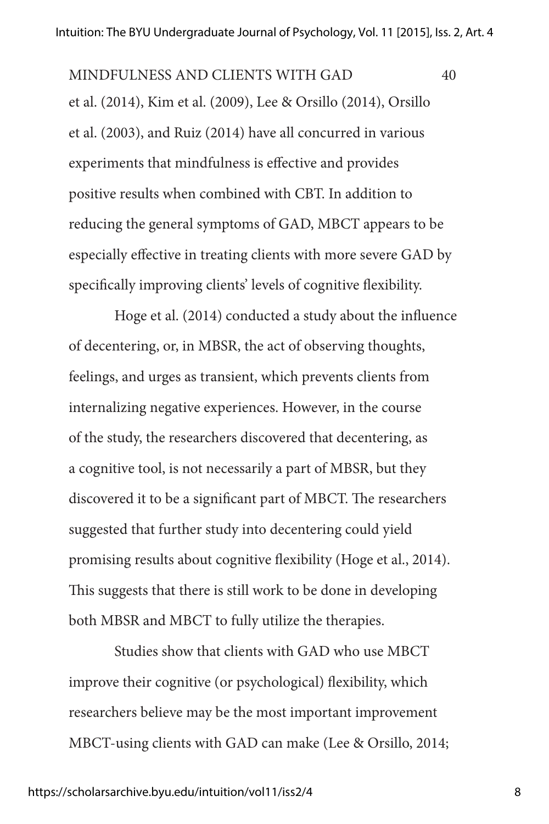et al. (2014), Kim et al. (2009), Lee & Orsillo (2014), Orsillo et al. (2003), and Ruiz (2014) have all concurred in various experiments that mindfulness is effective and provides positive results when combined with CBT. In addition to reducing the general symptoms of GAD, MBCT appears to be especially effective in treating clients with more severe GAD by specifically improving clients' levels of cognitive flexibility. MINDFULNESS AND CLIENTS WITH GAD 40

Hoge et al. (2014) conducted a study about the influence of decentering, or, in MBSR, the act of observing thoughts, feelings, and urges as transient, which prevents clients from internalizing negative experiences. However, in the course of the study, the researchers discovered that decentering, as a cognitive tool, is not necessarily a part of MBSR, but they discovered it to be a significant part of MBCT. The researchers suggested that further study into decentering could yield promising results about cognitive flexibility (Hoge et al., 2014). This suggests that there is still work to be done in developing both MBSR and MBCT to fully utilize the therapies.

Studies show that clients with GAD who use MBCT improve their cognitive (or psychological) flexibility, which researchers believe may be the most important improvement MBCT-using clients with GAD can make (Lee & Orsillo, 2014;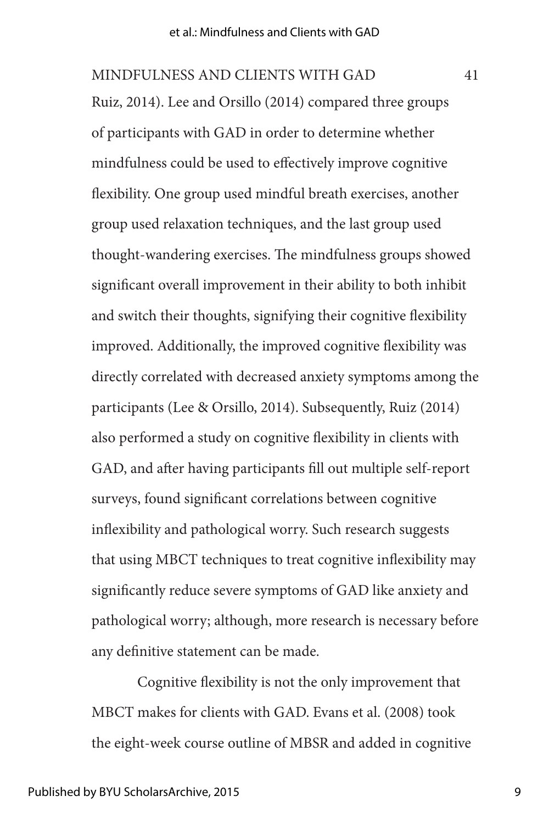Ruiz, 2014). Lee and Orsillo (2014) compared three groups of participants with GAD in order to determine whether mindfulness could be used to effectively improve cognitive flexibility. One group used mindful breath exercises, another group used relaxation techniques, and the last group used thought-wandering exercises. The mindfulness groups showed significant overall improvement in their ability to both inhibit and switch their thoughts, signifying their cognitive flexibility improved. Additionally, the improved cognitive flexibility was directly correlated with decreased anxiety symptoms among the participants (Lee & Orsillo, 2014). Subsequently, Ruiz (2014) also performed a study on cognitive flexibility in clients with GAD, and after having participants fill out multiple self-report surveys, found significant correlations between cognitive inflexibility and pathological worry. Such research suggests that using MBCT techniques to treat cognitive inflexibility may significantly reduce severe symptoms of GAD like anxiety and pathological worry; although, more research is necessary before any definitive statement can be made. MINDFULNESS AND CLIENTS WITH GAD 41

Cognitive flexibility is not the only improvement that MBCT makes for clients with GAD. Evans et al. (2008) took the eight-week course outline of MBSR and added in cognitive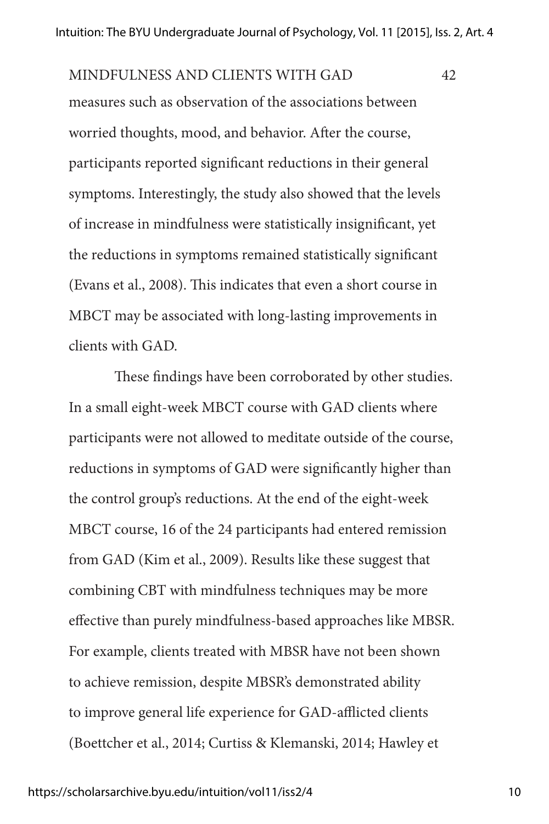measures such as observation of the associations between worried thoughts, mood, and behavior. After the course, participants reported significant reductions in their general symptoms. Interestingly, the study also showed that the levels of increase in mindfulness were statistically insignificant, yet the reductions in symptoms remained statistically significant (Evans et al., 2008). This indicates that even a short course in MBCT may be associated with long-lasting improvements in clients with GAD. MINDFULNESS AND CLIENTS WITH GAD 42

These findings have been corroborated by other studies. In a small eight-week MBCT course with GAD clients where participants were not allowed to meditate outside of the course, reductions in symptoms of GAD were significantly higher than the control group's reductions. At the end of the eight-week MBCT course, 16 of the 24 participants had entered remission from GAD (Kim et al., 2009). Results like these suggest that combining CBT with mindfulness techniques may be more effective than purely mindfulness-based approaches like MBSR. For example, clients treated with MBSR have not been shown to achieve remission, despite MBSR's demonstrated ability to improve general life experience for GAD-afflicted clients (Boettcher et al., 2014; Curtiss & Klemanski, 2014; Hawley et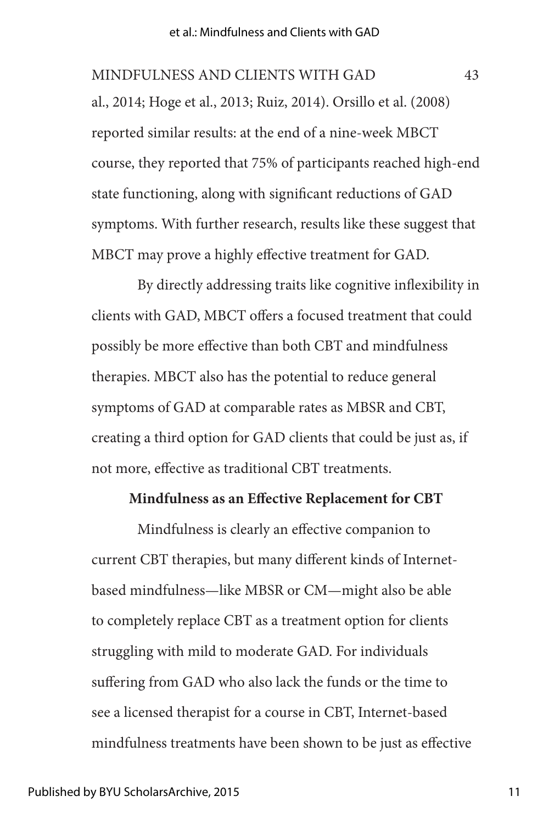al., 2014; Hoge et al., 2013; Ruiz, 2014). Orsillo et al. (2008) reported similar results: at the end of a nine-week MBCT course, they reported that 75% of participants reached high-end state functioning, along with significant reductions of GAD symptoms. With further research, results like these suggest that MBCT may prove a highly effective treatment for GAD. MINDFULNESS AND CLIENTS WITH GAD 43

By directly addressing traits like cognitive inflexibility in clients with GAD, MBCT offers a focused treatment that could possibly be more effective than both CBT and mindfulness therapies. MBCT also has the potential to reduce general symptoms of GAD at comparable rates as MBSR and CBT, creating a third option for GAD clients that could be just as, if not more, effective as traditional CBT treatments.

#### **Mindfulness as an Effective Replacement for CBT**

Mindfulness is clearly an effective companion to current CBT therapies, but many different kinds of Internetbased mindfulness—like MBSR or CM—might also be able to completely replace CBT as a treatment option for clients struggling with mild to moderate GAD. For individuals suffering from GAD who also lack the funds or the time to see a licensed therapist for a course in CBT, Internet-based mindfulness treatments have been shown to be just as effective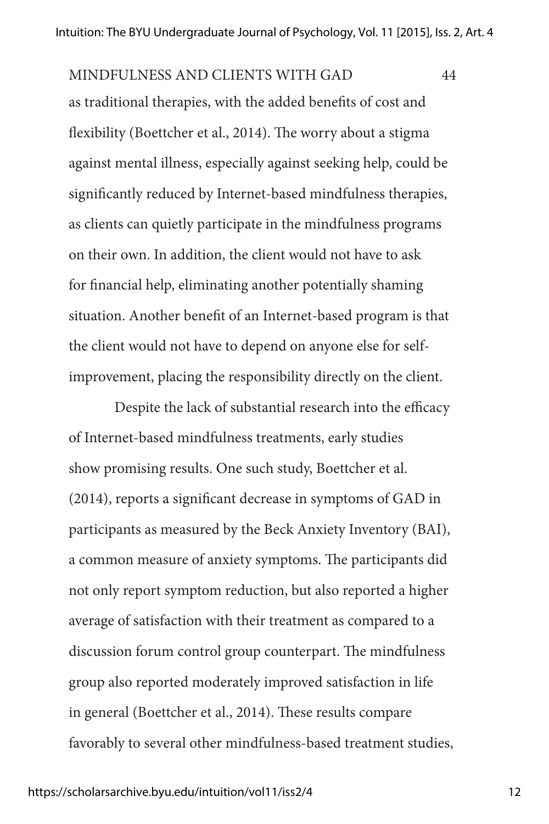as traditional therapies, with the added benefits of cost and flexibility (Boettcher et al., 2014). The worry about a stigma against mental illness, especially against seeking help, could be significantly reduced by Internet-based mindfulness therapies, as clients can quietly participate in the mindfulness programs on their own. In addition, the client would not have to ask for financial help, eliminating another potentially shaming situation. Another benefit of an Internet-based program is that the client would not have to depend on anyone else for selfimprovement, placing the responsibility directly on the client. MINDFULNESS AND CLIENTS WITH GAD 44

Despite the lack of substantial research into the efficacy of Internet-based mindfulness treatments, early studies show promising results. One such study, Boettcher et al. (2014), reports a significant decrease in symptoms of GAD in participants as measured by the Beck Anxiety Inventory (BAI), a common measure of anxiety symptoms. The participants did not only report symptom reduction, but also reported a higher average of satisfaction with their treatment as compared to a discussion forum control group counterpart. The mindfulness group also reported moderately improved satisfaction in life in general (Boettcher et al., 2014). These results compare favorably to several other mindfulness-based treatment studies,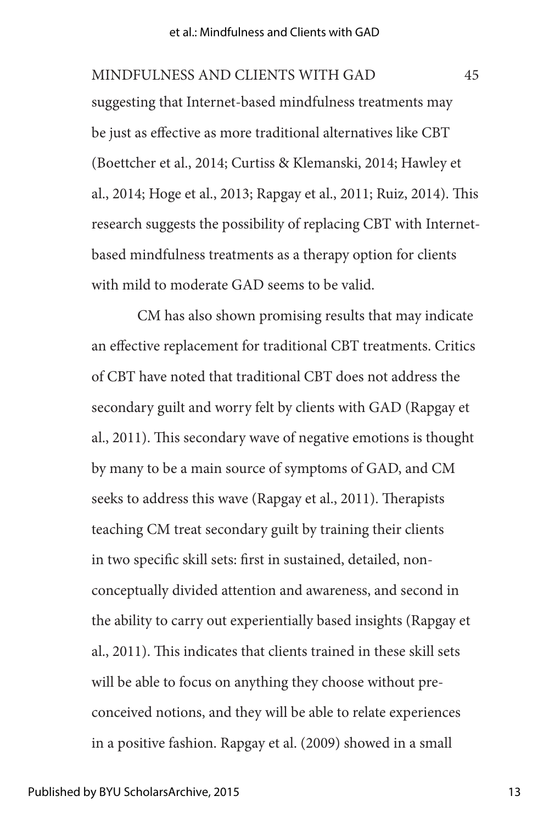suggesting that Internet-based mindfulness treatments may be just as effective as more traditional alternatives like CBT (Boettcher et al., 2014; Curtiss & Klemanski, 2014; Hawley et al., 2014; Hoge et al., 2013; Rapgay et al., 2011; Ruiz, 2014). This research suggests the possibility of replacing CBT with Internetbased mindfulness treatments as a therapy option for clients with mild to moderate GAD seems to be valid. MINDFULNESS AND CLIENTS WITH GAD 45

CM has also shown promising results that may indicate an effective replacement for traditional CBT treatments. Critics of CBT have noted that traditional CBT does not address the secondary guilt and worry felt by clients with GAD (Rapgay et al., 2011). This secondary wave of negative emotions is thought by many to be a main source of symptoms of GAD, and CM seeks to address this wave (Rapgay et al., 2011). Therapists teaching CM treat secondary guilt by training their clients in two specific skill sets: first in sustained, detailed, nonconceptually divided attention and awareness, and second in the ability to carry out experientially based insights (Rapgay et al., 2011). This indicates that clients trained in these skill sets will be able to focus on anything they choose without preconceived notions, and they will be able to relate experiences in a positive fashion. Rapgay et al. (2009) showed in a small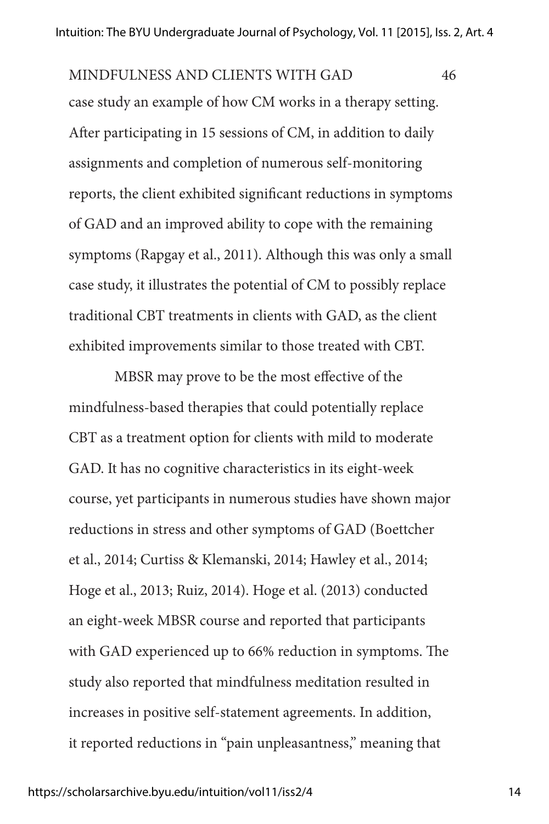case study an example of how CM works in a therapy setting. After participating in 15 sessions of CM, in addition to daily assignments and completion of numerous self-monitoring reports, the client exhibited significant reductions in symptoms of GAD and an improved ability to cope with the remaining symptoms (Rapgay et al., 2011). Although this was only a small case study, it illustrates the potential of CM to possibly replace traditional CBT treatments in clients with GAD, as the client exhibited improvements similar to those treated with CBT. MINDFULNESS AND CLIENTS WITH GAD 46

MBSR may prove to be the most effective of the mindfulness-based therapies that could potentially replace CBT as a treatment option for clients with mild to moderate GAD. It has no cognitive characteristics in its eight-week course, yet participants in numerous studies have shown major reductions in stress and other symptoms of GAD (Boettcher et al., 2014; Curtiss & Klemanski, 2014; Hawley et al., 2014; Hoge et al., 2013; Ruiz, 2014). Hoge et al. (2013) conducted an eight-week MBSR course and reported that participants with GAD experienced up to 66% reduction in symptoms. The study also reported that mindfulness meditation resulted in increases in positive self-statement agreements. In addition, it reported reductions in "pain unpleasantness," meaning that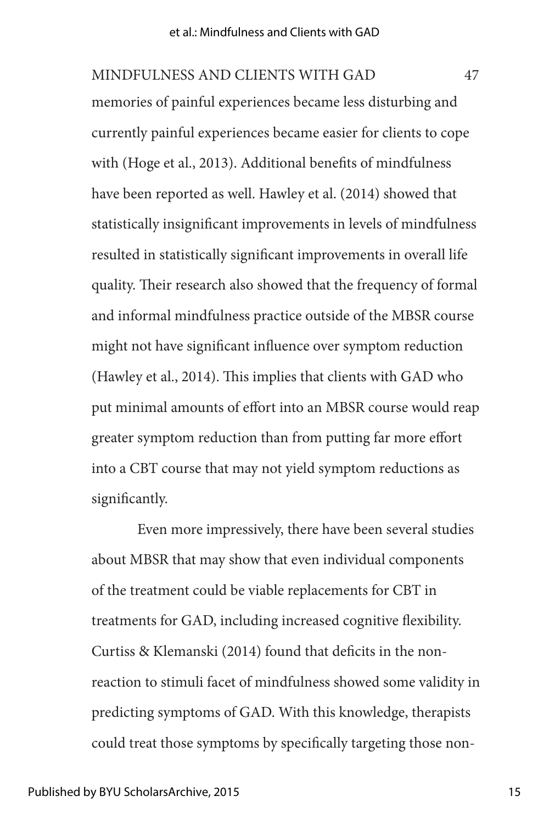memories of painful experiences became less disturbing and currently painful experiences became easier for clients to cope with (Hoge et al., 2013). Additional benefits of mindfulness have been reported as well. Hawley et al. (2014) showed that statistically insignificant improvements in levels of mindfulness resulted in statistically significant improvements in overall life quality. Their research also showed that the frequency of formal and informal mindfulness practice outside of the MBSR course might not have significant influence over symptom reduction (Hawley et al., 2014). This implies that clients with GAD who put minimal amounts of effort into an MBSR course would reap greater symptom reduction than from putting far more effort into a CBT course that may not yield symptom reductions as significantly. MINDFULNESS AND CLIENTS WITH GAD 47

Even more impressively, there have been several studies about MBSR that may show that even individual components of the treatment could be viable replacements for CBT in treatments for GAD, including increased cognitive flexibility. Curtiss & Klemanski (2014) found that deficits in the nonreaction to stimuli facet of mindfulness showed some validity in predicting symptoms of GAD. With this knowledge, therapists could treat those symptoms by specifically targeting those non-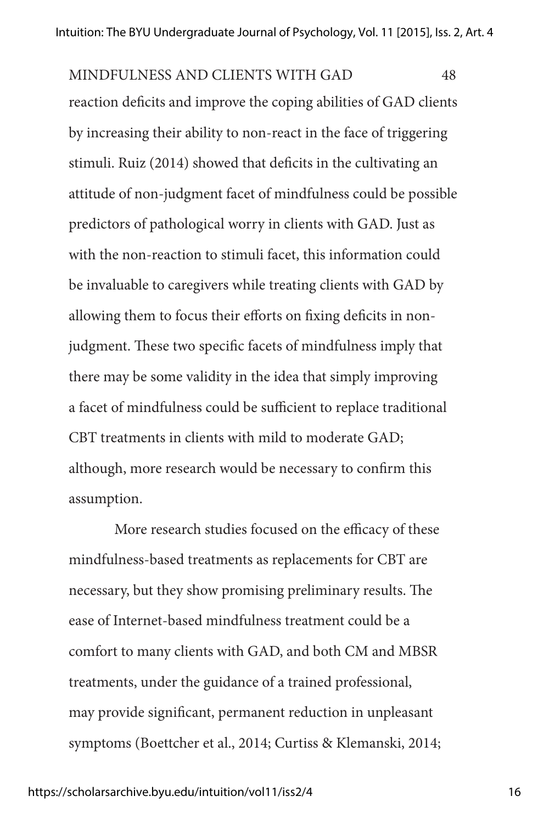reaction deficits and improve the coping abilities of GAD clients by increasing their ability to non-react in the face of triggering stimuli. Ruiz (2014) showed that deficits in the cultivating an attitude of non-judgment facet of mindfulness could be possible predictors of pathological worry in clients with GAD. Just as with the non-reaction to stimuli facet, this information could be invaluable to caregivers while treating clients with GAD by allowing them to focus their efforts on fixing deficits in nonjudgment. These two specific facets of mindfulness imply that there may be some validity in the idea that simply improving a facet of mindfulness could be sufficient to replace traditional CBT treatments in clients with mild to moderate GAD; although, more research would be necessary to confirm this assumption. MINDFULNESS AND CLIENTS WITH GAD 48

More research studies focused on the efficacy of these mindfulness-based treatments as replacements for CBT are necessary, but they show promising preliminary results. The ease of Internet-based mindfulness treatment could be a comfort to many clients with GAD, and both CM and MBSR treatments, under the guidance of a trained professional, may provide significant, permanent reduction in unpleasant symptoms (Boettcher et al., 2014; Curtiss & Klemanski, 2014;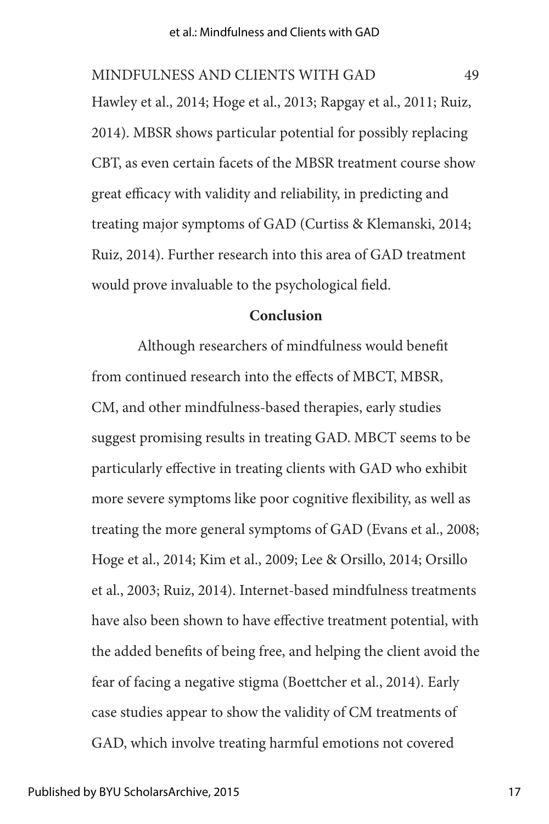Hawley et al., 2014; Hoge et al., 2013; Rapgay et al., 2011; Ruiz, 2014). MBSR shows particular potential for possibly replacing CBT, as even certain facets of the MBSR treatment course show great efficacy with validity and reliability, in predicting and treating major symptoms of GAD (Curtiss & Klemanski, 2014; Ruiz, 2014). Further research into this area of GAD treatment would prove invaluable to the psychological field. MINDFULNESS AND CLIENTS WITH GAD 49

#### **Conclusion**

Although researchers of mindfulness would benefit from continued research into the effects of MBCT, MBSR, CM, and other mindfulness-based therapies, early studies suggest promising results in treating GAD. MBCT seems to be particularly effective in treating clients with GAD who exhibit more severe symptoms like poor cognitive flexibility, as well as treating the more general symptoms of GAD (Evans et al., 2008; Hoge et al., 2014; Kim et al., 2009; Lee & Orsillo, 2014; Orsillo et al., 2003; Ruiz, 2014). Internet-based mindfulness treatments have also been shown to have effective treatment potential, with the added benefits of being free, and helping the client avoid the fear of facing a negative stigma (Boettcher et al., 2014). Early case studies appear to show the validity of CM treatments of GAD, which involve treating harmful emotions not covered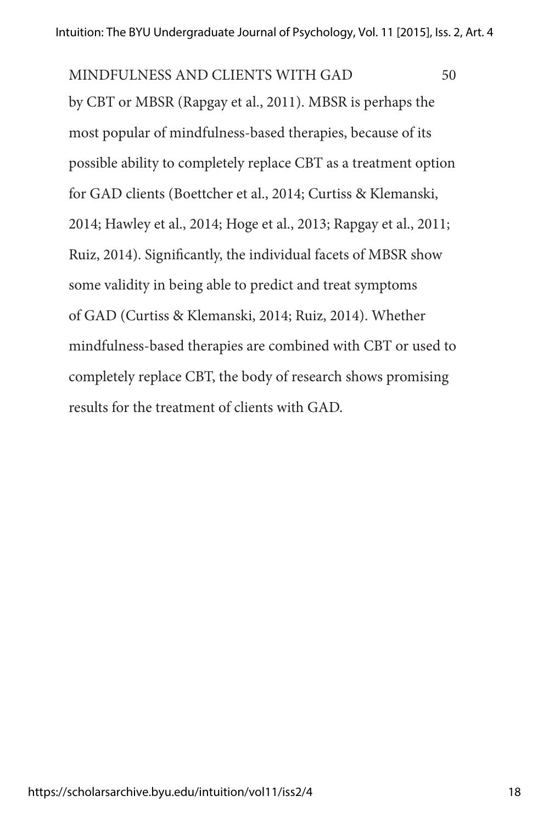by CBT or MBSR (Rapgay et al., 2011). MBSR is perhaps the most popular of mindfulness-based therapies, because of its possible ability to completely replace CBT as a treatment option for GAD clients (Boettcher et al., 2014; Curtiss & Klemanski, 2014; Hawley et al., 2014; Hoge et al., 2013; Rapgay et al., 2011; Ruiz, 2014). Significantly, the individual facets of MBSR show some validity in being able to predict and treat symptoms of GAD (Curtiss & Klemanski, 2014; Ruiz, 2014). Whether mindfulness-based therapies are combined with CBT or used to completely replace CBT, the body of research shows promising results for the treatment of clients with GAD. MINDFULNESS AND CLIENTS WITH GAD 50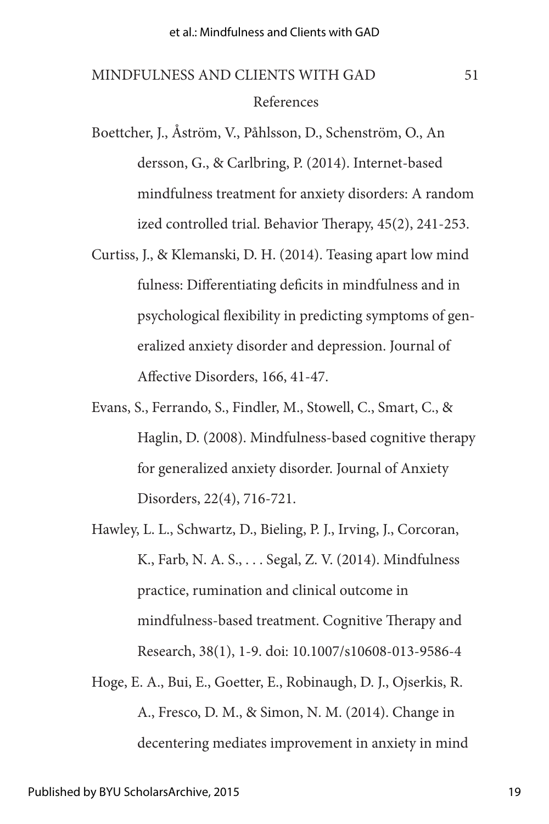### References MINDFULNESS AND CLIENTS WITH GAD 51

- Boettcher, J., Åström, V., Påhlsson, D., Schenström, O., An dersson, G., & Carlbring, P. (2014). Internet-based mindfulness treatment for anxiety disorders: A random ized controlled trial. Behavior Therapy, 45(2), 241-253.
- Curtiss, J., & Klemanski, D. H. (2014). Teasing apart low mind fulness: Differentiating deficits in mindfulness and in psychological flexibility in predicting symptoms of generalized anxiety disorder and depression. Journal of Affective Disorders, 166, 41-47.
- Evans, S., Ferrando, S., Findler, M., Stowell, C., Smart, C., & Haglin, D. (2008). Mindfulness-based cognitive therapy for generalized anxiety disorder. Journal of Anxiety Disorders, 22(4), 716-721.
- Hawley, L. L., Schwartz, D., Bieling, P. J., Irving, J., Corcoran, K., Farb, N. A. S., . . . Segal, Z. V. (2014). Mindfulness practice, rumination and clinical outcome in mindfulness-based treatment. Cognitive Therapy and Research, 38(1), 1-9. doi: 10.1007/s10608-013-9586-4
- Hoge, E. A., Bui, E., Goetter, E., Robinaugh, D. J., Ojserkis, R. A., Fresco, D. M., & Simon, N. M. (2014). Change in decentering mediates improvement in anxiety in mind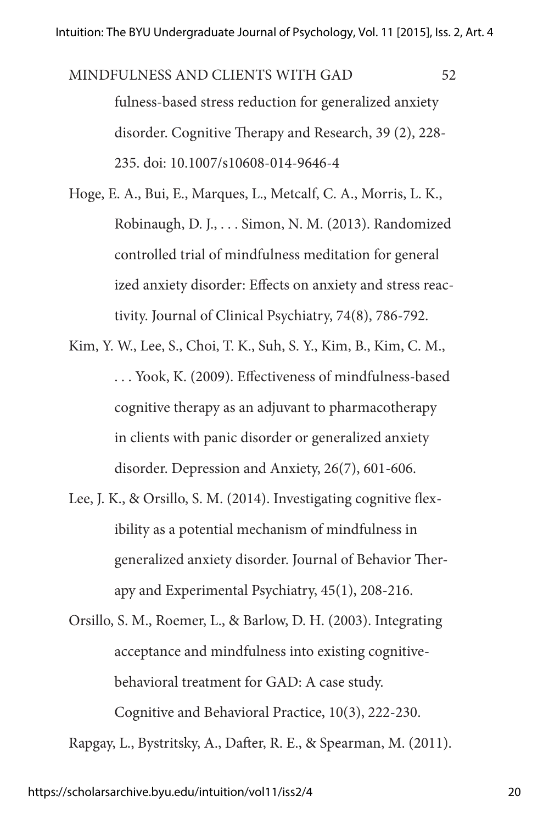fulness-based stress reduction for generalized anxiety disorder. Cognitive Therapy and Research, 39 (2), 228- 235. doi: 10.1007/s10608-014-9646-4 MINDFULNESS AND CLIENTS WITH GAD 52

Hoge, E. A., Bui, E., Marques, L., Metcalf, C. A., Morris, L. K., Robinaugh, D. J., . . . Simon, N. M. (2013). Randomized controlled trial of mindfulness meditation for general ized anxiety disorder: Effects on anxiety and stress reactivity. Journal of Clinical Psychiatry, 74(8), 786-792.

- Kim, Y. W., Lee, S., Choi, T. K., Suh, S. Y., Kim, B., Kim, C. M., . . . Yook, K. (2009). Effectiveness of mindfulness-based cognitive therapy as an adjuvant to pharmacotherapy in clients with panic disorder or generalized anxiety disorder. Depression and Anxiety, 26(7), 601-606.
- Lee, J. K., & Orsillo, S. M. (2014). Investigating cognitive flexibility as a potential mechanism of mindfulness in generalized anxiety disorder. Journal of Behavior Therapy and Experimental Psychiatry, 45(1), 208-216.

Orsillo, S. M., Roemer, L., & Barlow, D. H. (2003). Integrating acceptance and mindfulness into existing cognitivebehavioral treatment for GAD: A case study. Cognitive and Behavioral Practice, 10(3), 222-230. Rapgay, L., Bystritsky, A., Dafter, R. E., & Spearman, M. (2011).